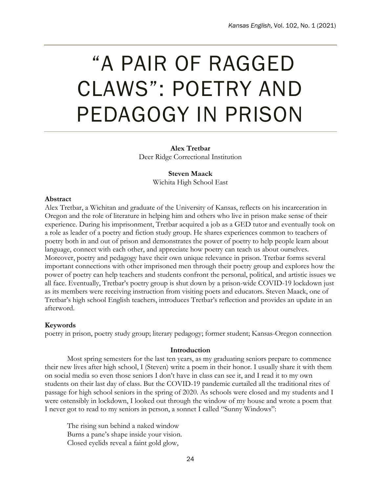# "A PAIR OF RAGGED CLAWS": POETRY AND PEDAGOGY IN PRISON

**Alex Tretbar** Deer Ridge Correctional Institution

> **Steven Maack** Wichita High School East

## **Abstract**

Alex Tretbar, a Wichitan and graduate of the University of Kansas, reflects on his incarceration in Oregon and the role of literature in helping him and others who live in prison make sense of their experience. During his imprisonment, Tretbar acquired a job as a GED tutor and eventually took on a role as leader of a poetry and fiction study group. He shares experiences common to teachers of poetry both in and out of prison and demonstrates the power of poetry to help people learn about language, connect with each other, and appreciate how poetry can teach us about ourselves. Moreover, poetry and pedagogy have their own unique relevance in prison. Tretbar forms several important connections with other imprisoned men through their poetry group and explores how the power of poetry can help teachers and students confront the personal, political, and artistic issues we all face. Eventually, Tretbar's poetry group is shut down by a prison-wide COVID-19 lockdown just as its members were receiving instruction from visiting poets and educators. Steven Maack, one of Tretbar's high school English teachers, introduces Tretbar's reflection and provides an update in an afterword.

## **Keywords**

poetry in prison, poetry study group; literary pedagogy; former student; Kansas-Oregon connection

### **Introduction**

Most spring semesters for the last ten years, as my graduating seniors prepare to commence their new lives after high school, I (Steven) write a poem in their honor. I usually share it with them on social media so even those seniors I don't have in class can see it, and I read it to my own students on their last day of class. But the COVID-19 pandemic curtailed all the traditional rites of passage for high school seniors in the spring of 2020. As schools were closed and my students and I were ostensibly in lockdown, I looked out through the window of my house and wrote a poem that I never got to read to my seniors in person, a sonnet I called "Sunny Windows":

The rising sun behind a naked window Burns a pane's shape inside your vision. Closed eyelids reveal a faint gold glow,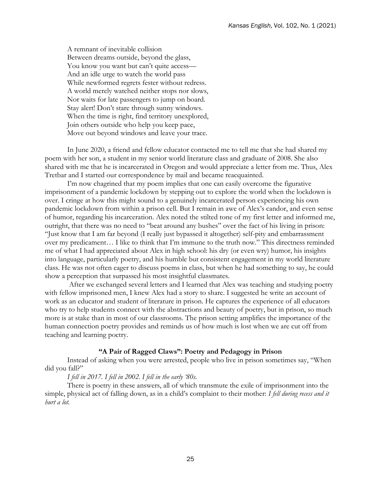A remnant of inevitable collision Between dreams outside, beyond the glass, You know you want but can't quite access-And an idle urge to watch the world pass While newformed regrets fester without redress. A world merely watched neither stops nor slows, Nor waits for late passengers to jump on board. Stay alert! Don't stare through sunny windows. When the time is right, find territory unexplored, Join others outside who help you keep pace, Move out beyond windows and leave your trace.

In June 2020, a friend and fellow educator contacted me to tell me that she had shared my poem with her son, a student in my senior world literature class and graduate of 2008. She also shared with me that he is incarcerated in Oregon and would appreciate a letter from me. Thus, Alex Tretbar and I started our correspondence by mail and became reacquainted.

I'm now chagrined that my poem implies that one can easily overcome the figurative imprisonment of a pandemic lockdown by stepping out to explore the world when the lockdown is over. I cringe at how this might sound to a genuinely incarcerated person experiencing his own pandemic lockdown from within a prison cell. But I remain in awe of Alex's candor, and even sense of humor, regarding his incarceration. Alex noted the stilted tone of my first letter and informed me, outright, that there was no need to "beat around any bushes" over the fact of his living in prison: "Just know that I am far beyond (I really just bypassed it altogether) self-pity and embarrassment over my predicament… I like to think that I'm immune to the truth now." This directness reminded me of what I had appreciated about Alex in high school: his dry (or even wry) humor, his insights into language, particularly poetry, and his humble but consistent engagement in my world literature class. He was not often eager to discuss poems in class, but when he had something to say, he could show a perception that surpassed his most insightful classmates.

After we exchanged several letters and I learned that Alex was teaching and studying poetry with fellow imprisoned men, I knew Alex had a story to share. I suggested he write an account of work as an educator and student of literature in prison. He captures the experience of all educators who try to help students connect with the abstractions and beauty of poetry, but in prison, so much more is at stake than in most of our classrooms. The prison setting amplifies the importance of the human connection poetry provides and reminds us of how much is lost when we are cut off from teaching and learning poetry.

#### **"A Pair of Ragged Claws": Poetry and Pedagogy in Prison**

Instead of asking when you were arrested, people who live in prison sometimes say, "When did you fall?"

*I fell in 2017. I fell in 2002. I fell in the early '80s.*

There is poetry in these answers, all of which transmute the exile of imprisonment into the simple, physical act of falling down, as in a child's complaint to their mother: *I fell during recess and it hurt a lot.*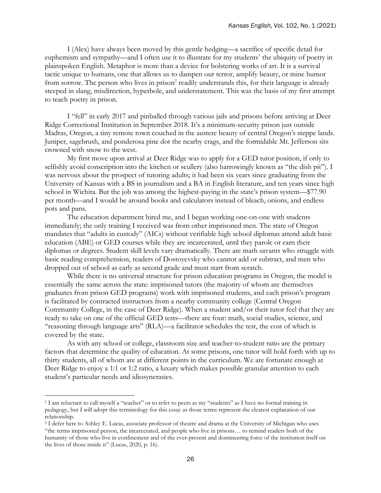I (Alex) have always been moved by this gentle hedging—a sacrifice of specific detail for euphemism and sympathy—and I often use it to illustrate for my students<sup>1</sup> the ubiquity of poetry in plainspoken English. Metaphor is more than a device for bolstering works of art. It is a survival tactic unique to humans, one that allows us to dampen our terror, amplify beauty, or mine humor from sorrow. The person who lives in prison<sup>2</sup> readily understands this, for their language is already steeped in slang, misdirection, hyperbole, and understatement. This was the basis of my first attempt to teach poetry in prison.

I "fell" in early 2017 and pinballed through various jails and prisons before arriving at Deer Ridge Correctional Institution in September 2018. It's a minimum-security prison just outside Madras, Oregon, a tiny remote town couched in the austere beauty of central Oregon's steppe lands. Juniper, sagebrush, and ponderosa pine dot the nearby crags, and the formidable Mt. Jefferson sits crowned with snow to the west.

My first move upon arrival at Deer Ridge was to apply for a GED tutor position, if only to selfishly avoid conscription into the kitchen or scullery (also harrowingly known as "the dish pit"). I was nervous about the prospect of tutoring adults; it had been six years since graduating from the University of Kansas with a BS in journalism and a BA in English literature, and ten years since high school in Wichita. But the job was among the highest-paying in the state's prison system—\$77.90 per month—and I would be around books and calculators instead of bleach, onions, and endless pots and pans.

The education department hired me, and I began working one-on-one with students immediately; the only training I received was from other imprisoned men. The state of Oregon mandates that "adults in custody" (AICs) without verifiable high school diplomas attend adult basic education (ABE) or GED courses while they are incarcerated, until they parole or earn their diplomas or degrees. Student skill levels vary dramatically. There are math savants who struggle with basic reading comprehension, readers of Dostoyevsky who cannot add or subtract, and men who dropped out of school as early as second grade and must start from scratch.

While there is no universal structure for prison education programs in Oregon, the model is essentially the same across the state: imprisoned tutors (the majority of whom are themselves graduates from prison GED programs) work with imprisoned students, and each prison's program is facilitated by contracted instructors from a nearby community college (Central Oregon Community College, in the case of Deer Ridge). When a student and/or their tutor feel that they are ready to take on one of the official GED tests—there are four: math, social studies, science, and "reasoning through language arts" (RLA)—a facilitator schedules the test, the cost of which is covered by the state.

As with any school or college, classroom size and teacher-to-student ratio are the primary factors that determine the quality of education. At some prisons, one tutor will hold forth with up to thirty students, all of whom are at different points in the curriculum. We are fortunate enough at Deer Ridge to enjoy a 1:1 or 1:2 ratio, a luxury which makes possible granular attention to each student's particular needs and idiosyncrasies.

 $\overline{a}$ 

<sup>1</sup> I am reluctant to call myself a "teacher" or to refer to peers as my "students" as I have no formal training in pedagogy, but I will adopt this terminology for this essay as those terms represent the clearest explanation of our relationship.

<sup>2</sup> I defer here to Ashley E. Lucas, associate professor of theatre and drama at the University of Michigan who uses "the terms imprisoned person, the incarcerated, and people who live in prisons… to remind readers both of the humanity of those who live in confinement and of the ever-present and domineering force of the institution itself on the lives of those inside it" (Lucas, 2020, p. 16).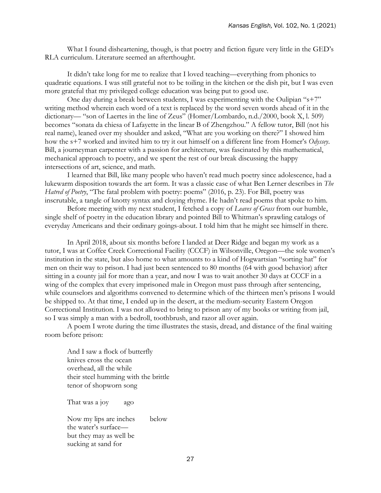What I found disheartening, though, is that poetry and fiction figure very little in the GED's RLA curriculum. Literature seemed an afterthought.

It didn't take long for me to realize that I loved teaching—everything from phonics to quadratic equations. I was still grateful not to be toiling in the kitchen or the dish pit, but I was even more grateful that my privileged college education was being put to good use.

One day during a break between students, I was experimenting with the Oulipian "s+7" writing method wherein each word of a text is replaced by the word seven words ahead of it in the dictionary— "son of Laertes in the line of Zeus" (Homer/Lombardo, n.d./2000, book X, l. 509) becomes "sonata da chiesa of Lafayette in the linear B of Zhengzhou." A fellow tutor, Bill (not his real name), leaned over my shoulder and asked, "What are you working on there?" I showed him how the s+7 worked and invited him to try it out himself on a different line from Homer's *Odyssey*. Bill, a journeyman carpenter with a passion for architecture, was fascinated by this mathematical, mechanical approach to poetry, and we spent the rest of our break discussing the happy intersections of art, science, and math.

I learned that Bill, like many people who haven't read much poetry since adolescence, had a lukewarm disposition towards the art form. It was a classic case of what Ben Lerner describes in *The Hatred of Poetry*, "The fatal problem with poetry: poems" (2016, p. 23). For Bill, poetry was inscrutable, a tangle of knotty syntax and cloying rhyme. He hadn't read poems that spoke to him.

Before meeting with my next student, I fetched a copy of *Leaves of Grass* from our humble, single shelf of poetry in the education library and pointed Bill to Whitman's sprawling catalogs of everyday Americans and their ordinary goings-about. I told him that he might see himself in there.

In April 2018, about six months before I landed at Deer Ridge and began my work as a tutor, I was at Coffee Creek Correctional Facility (CCCF) in Wilsonville, Oregon—the sole women's institution in the state, but also home to what amounts to a kind of Hogwartsian "sorting hat" for men on their way to prison. I had just been sentenced to 80 months (64 with good behavior) after sitting in a county jail for more than a year, and now I was to wait another 30 days at CCCF in a wing of the complex that every imprisoned male in Oregon must pass through after sentencing, while counselors and algorithms convened to determine which of the thirteen men's prisons I would be shipped to. At that time, I ended up in the desert, at the medium-security Eastern Oregon Correctional Institution. I was not allowed to bring to prison any of my books or writing from jail, so I was simply a man with a bedroll, toothbrush, and razor all over again.

A poem I wrote during the time illustrates the stasis, dread, and distance of the final waiting room before prison:

And I saw a flock of butterfly knives cross the ocean overhead, all the while their steel humming with the brittle tenor of shopworn song

That was a joy ago

Now my lips are inches below the water's surface but they may as well be sucking at sand for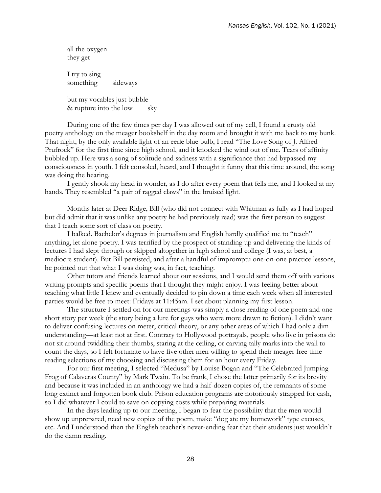all the oxygen they get I try to sing something sideways

but my vocables just bubble & rupture into the low sky

During one of the few times per day I was allowed out of my cell, I found a crusty old poetry anthology on the meager bookshelf in the day room and brought it with me back to my bunk. That night, by the only available light of an eerie blue bulb, I read "The Love Song of J. Alfred Prufrock" for the first time since high school, and it knocked the wind out of me. Tears of affinity bubbled up. Here was a song of solitude and sadness with a significance that had bypassed my consciousness in youth. I felt consoled, heard, and I thought it funny that this time around, the song was doing the hearing.

I gently shook my head in wonder, as I do after every poem that fells me, and I looked at my hands. They resembled "a pair of ragged claws" in the bruised light.

Months later at Deer Ridge, Bill (who did not connect with Whitman as fully as I had hoped but did admit that it was unlike any poetry he had previously read) was the first person to suggest that I teach some sort of class on poetry.

I balked. Bachelor's degrees in journalism and English hardly qualified me to "teach" anything, let alone poetry. I was terrified by the prospect of standing up and delivering the kinds of lectures I had slept through or skipped altogether in high school and college (I was, at best, a mediocre student). But Bill persisted, and after a handful of impromptu one-on-one practice lessons, he pointed out that what I was doing was, in fact, teaching.

Other tutors and friends learned about our sessions, and I would send them off with various writing prompts and specific poems that I thought they might enjoy. I was feeling better about teaching what little I knew and eventually decided to pin down a time each week when all interested parties would be free to meet: Fridays at 11:45am. I set about planning my first lesson.

The structure I settled on for our meetings was simply a close reading of one poem and one short story per week (the story being a lure for guys who were more drawn to fiction). I didn't want to deliver confusing lectures on meter, critical theory, or any other areas of which I had only a dim understanding—at least not at first. Contrary to Hollywood portrayals, people who live in prisons do not sit around twiddling their thumbs, staring at the ceiling, or carving tally marks into the wall to count the days, so I felt fortunate to have five other men willing to spend their meager free time reading selections of my choosing and discussing them for an hour every Friday.

For our first meeting, I selected "Medusa" by Louise Bogan and "The Celebrated Jumping Frog of Calaveras County" by Mark Twain. To be frank, I chose the latter primarily for its brevity and because it was included in an anthology we had a half-dozen copies of, the remnants of some long extinct and forgotten book club. Prison education programs are notoriously strapped for cash, so I did whatever I could to save on copying costs while preparing materials.

In the days leading up to our meeting, I began to fear the possibility that the men would show up unprepared, need new copies of the poem, make "dog ate my homework" type excuses, etc. And I understood then the English teacher's never-ending fear that their students just wouldn't do the damn reading.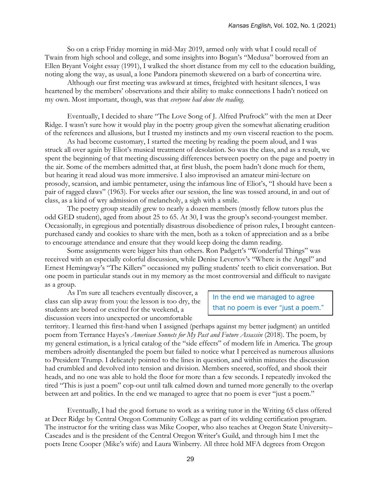So on a crisp Friday morning in mid-May 2019, armed only with what I could recall of Twain from high school and college, and some insights into Bogan's "Medusa" borrowed from an Ellen Bryant Voight essay (1991), I walked the short distance from my cell to the education building, noting along the way, as usual, a lone Pandora pinemoth skewered on a barb of concertina wire.

Although our first meeting was awkward at times, freighted with hesitant silences, I was heartened by the members' observations and their ability to make connections I hadn't noticed on my own. Most important, though, was that *everyone had done the reading*.

Eventually, I decided to share "The Love Song of J. Alfred Prufrock" with the men at Deer Ridge. I wasn't sure how it would play in the poetry group given the somewhat alienating erudition of the references and allusions, but I trusted my instincts and my own visceral reaction to the poem.

As had become customary, I started the meeting by reading the poem aloud, and I was struck all over again by Eliot's musical treatment of desolation. So was the class, and as a result, we spent the beginning of that meeting discussing differences between poetry on the page and poetry in the air. Some of the members admitted that, at first blush, the poem hadn't done much for them, but hearing it read aloud was more immersive. I also improvised an amateur mini-lecture on prosody, scansion, and iambic pentameter, using the infamous line of Eliot's, "I should have been a pair of ragged claws" (1963). For weeks after our session, the line was tossed around, in and out of class, as a kind of wry admission of melancholy, a sigh with a smile.

The poetry group steadily grew to nearly a dozen members (mostly fellow tutors plus the odd GED student), aged from about 25 to 65. At 30, I was the group's second-youngest member. Occasionally, in egregious and potentially disastrous disobedience of prison rules, I brought canteenpurchased candy and cookies to share with the men, both as a token of appreciation and as a bribe to encourage attendance and ensure that they would keep doing the damn reading.

Some assignments were bigger hits than others. Ron Padgett's "Wonderful Things" was received with an especially colorful discussion, while Denise Levertov's "Where is the Angel" and Ernest Hemingway's "The Killers" occasioned my pulling students' teeth to elicit conversation. But one poem in particular stands out in my memory as the most controversial and difficult to navigate as a group.

As I'm sure all teachers eventually discover, a class can slip away from you: the lesson is too dry, the students are bored or excited for the weekend, a discussion veers into unexpected or uncomfortable

In the end we managed to agree that no poem is ever "just a poem."

territory. I learned this first-hand when I assigned (perhaps against my better judgment) an untitled poem from Terrance Hayes's *American Sonnets for My Past and Future Assassin* (2018). The poem, by my general estimation, is a lyrical catalog of the "side effects" of modern life in America. The group members adroitly disentangled the poem but failed to notice what I perceived as numerous allusions to President Trump. I delicately pointed to the lines in question, and within minutes the discussion had crumbled and devolved into tension and division. Members sneered, scoffed, and shook their heads, and no one was able to hold the floor for more than a few seconds. I repeatedly invoked the tired "This is just a poem" cop-out until talk calmed down and turned more generally to the overlap between art and politics. In the end we managed to agree that no poem is ever "just a poem."

Eventually, I had the good fortune to work as a writing tutor in the Writing 65 class offered at Deer Ridge by Central Oregon Community College as part of its welding certification program. The instructor for the writing class was Mike Cooper, who also teaches at Oregon State University– Cascades and is the president of the Central Oregon Writer's Guild, and through him I met the poets Irene Cooper (Mike's wife) and Laura Winberry. All three hold MFA degrees from Oregon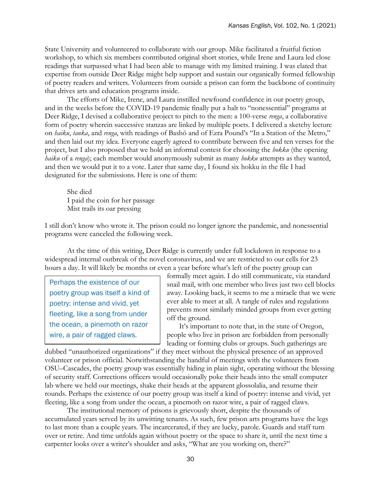State University and volunteered to collaborate with our group. Mike facilitated a fruitful fiction workshop, to which six members contributed original short stories, while Irene and Laura led close readings that surpassed what I had been able to manage with my limited training. I was elated that expertise from outside Deer Ridge might help support and sustain our organically formed fellowship of poetry readers and writers. Volunteers from outside a prison can form the backbone of continuity that drives arts and education programs inside.

The efforts of Mike, Irene, and Laura instilled newfound confidence in our poetry group, and in the weeks before the COVID-19 pandemic finally put a halt to "nonessential" programs at Deer Ridge, I devised a collaborative project to pitch to the men: a 100-verse *renga*, a collaborative form of poetry wherein successive stanzas are linked by multiple poets. I delivered a sketchy lecture on *haiku*, *tanka*, and *renga*, with readings of Bashō and of Ezra Pound's "In a Station of the Metro," and then laid out my idea. Everyone eagerly agreed to contribute between five and ten verses for the project, but I also proposed that we hold an informal contest for choosing the *hokku* (the opening *haiku* of a *renga*); each member would anonymously submit as many *hokku* attempts as they wanted, and then we would put it to a vote. Later that same day, I found six hokku in the file I had designated for the submissions. Here is one of them:

She died I paid the coin for her passage Mist trails its oar pressing

I still don't know who wrote it. The prison could no longer ignore the pandemic, and nonessential programs were canceled the following week.

At the time of this writing, Deer Ridge is currently under full lockdown in response to a widespread internal outbreak of the novel coronavirus, and we are restricted to our cells for 23 hours a day. It will likely be months or even a year before what's left of the poetry group can

Perhaps the existence of our poetry group was itself a kind of poetry: intense and vivid, yet fleeting, like a song from under the ocean, a pinemoth on razor wire, a pair of ragged claws.

formally meet again. I do still communicate, via standard snail mail, with one member who lives just two cell blocks away. Looking back, it seems to me a miracle that we were ever able to meet at all. A tangle of rules and regulations prevents most similarly minded groups from ever getting off the ground.

It's important to note that, in the state of Oregon, people who live in prison are forbidden from personally leading or forming clubs or groups. Such gatherings are

dubbed "unauthorized organizations" if they meet without the physical presence of an approved volunteer or prison official. Notwithstanding the handful of meetings with the volunteers from OSU–Cascades, the poetry group was essentially hiding in plain sight, operating without the blessing of security staff. Corrections officers would occasionally poke their heads into the small computer lab where we held our meetings, shake their heads at the apparent glossolalia, and resume their rounds. Perhaps the existence of our poetry group was itself a kind of poetry: intense and vivid, yet fleeting, like a song from under the ocean, a pinemoth on razor wire, a pair of ragged claws.

The institutional memory of prisons is grievously short, despite the thousands of accumulated years served by its unwitting tenants. As such, few prison arts programs have the legs to last more than a couple years. The incarcerated, if they are lucky, parole. Guards and staff turn over or retire. And time unfolds again without poetry or the space to share it, until the next time a carpenter looks over a writer's shoulder and asks, "What are you working on, there?"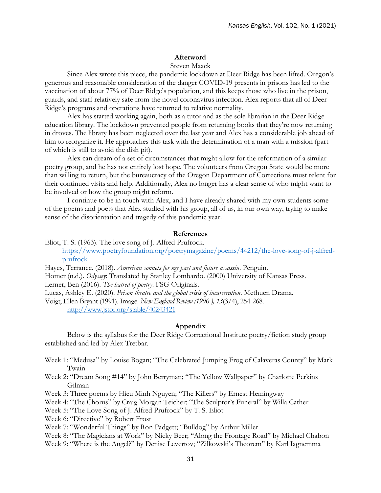#### **Afterword**

#### Steven Maack

Since Alex wrote this piece, the pandemic lockdown at Deer Ridge has been lifted. Oregon's generous and reasonable consideration of the danger COVID-19 presents in prisons has led to the vaccination of about 77% of Deer Ridge's population, and this keeps those who live in the prison, guards, and staff relatively safe from the novel coronavirus infection. Alex reports that all of Deer Ridge's programs and operations have returned to relative normality.

Alex has started working again, both as a tutor and as the sole librarian in the Deer Ridge education library. The lockdown prevented people from returning books that they're now returning in droves. The library has been neglected over the last year and Alex has a considerable job ahead of him to reorganize it. He approaches this task with the determination of a man with a mission (part of which is still to avoid the dish pit).

Alex can dream of a set of circumstances that might allow for the reformation of a similar poetry group, and he has not entirely lost hope. The volunteers from Oregon State would be more than willing to return, but the bureaucracy of the Oregon Department of Corrections must relent for their continued visits and help. Additionally, Alex no longer has a clear sense of who might want to be involved or how the group might reform.

I continue to be in touch with Alex, and I have already shared with my own students some of the poems and poets that Alex studied with his group, all of us, in our own way, trying to make sense of the disorientation and tragedy of this pandemic year.

#### **References**

- Eliot, T. S. (1963). The love song of J. Alfred Prufrock. [https://www.poetryfoundation.org/poetrymagazine/poems/44212/the-love-song-of-j-alfred](https://www.poetryfoundation.org/poetrymagazine/poems/44212/the-love-song-of-j-alfred-prufrock)[prufrock](https://www.poetryfoundation.org/poetrymagazine/poems/44212/the-love-song-of-j-alfred-prufrock)
- Hayes, Terrance. (2018). *American sonnets for my past and future assassin*. Penguin.
- Homer (n.d.). *Odyssey*: Translated by Stanley Lombardo. (2000) University of Kansas Press.

Lerner, Ben (2016). *The hatred of poetry*. FSG Originals.

Lucas, Ashley E. (2020). *Prison theatre and the global crisis of incarceration*. Methuen Drama.

Voigt, Ellen Bryant (1991). Image. *New England Review (1990-), 13*(3/4), 254-268. <http://www.jstor.org/stable/40243421>

#### **Appendix**

Below is the syllabus for the Deer Ridge Correctional Institute poetry/fiction study group established and led by Alex Tretbar.

- Week 1: "Medusa" by Louise Bogan; "The Celebrated Jumping Frog of Calaveras County" by Mark Twain
- Week 2: "Dream Song #14" by John Berryman; "The Yellow Wallpaper" by Charlotte Perkins Gilman
- Week 3: Three poems by Hieu Minh Nguyen; "The Killers" by Ernest Hemingway
- Week 4: "The Chorus" by Craig Morgan Teicher; "The Sculptor's Funeral" by Willa Cather
- Week 5: "The Love Song of J. Alfred Prufrock" by T. S. Eliot
- Week 6: "Directive" by Robert Frost
- Week 7: "Wonderful Things" by Ron Padgett; "Bulldog" by Arthur Miller
- Week 8: "The Magicians at Work" by Nicky Beer; "Along the Frontage Road" by Michael Chabon
- Week 9: "Where is the Angel?" by Denise Levertov; "Zilkowski's Theorem" by Karl Iagnemma